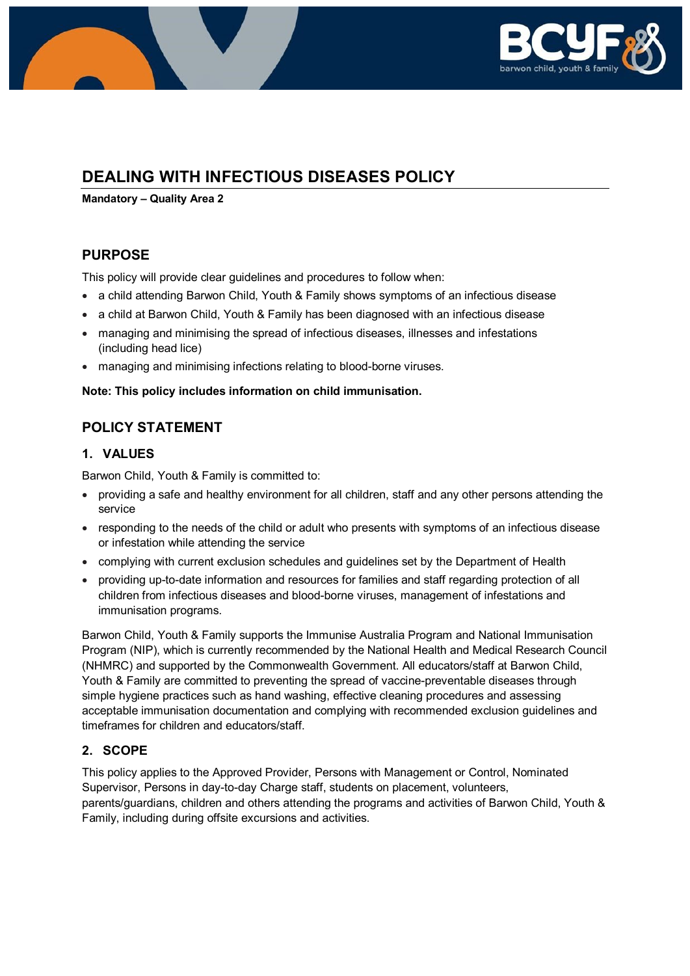

# **DEALING WITH INFECTIOUS DISEASES POLICY**

**Mandatory – Quality Area 2**

# **PURPOSE**

This policy will provide clear guidelines and procedures to follow when:

- a child attending Barwon Child, Youth & Family shows symptoms of an infectious disease
- a child at Barwon Child, Youth & Family has been diagnosed with an infectious disease
- managing and minimising the spread of infectious diseases, illnesses and infestations (including head lice)
- managing and minimising infections relating to blood-borne viruses.

### **Note: This policy includes information on child immunisation.**

# **POLICY STATEMENT**

## **1. VALUES**

Barwon Child, Youth & Family is committed to:

- providing a safe and healthy environment for all children, staff and any other persons attending the service
- responding to the needs of the child or adult who presents with symptoms of an infectious disease or infestation while attending the service
- complying with current exclusion schedules and guidelines set by the Department of Health
- providing up-to-date information and resources for families and staff regarding protection of all children from infectious diseases and blood-borne viruses, management of infestations and immunisation programs.

Barwon Child, Youth & Family supports the Immunise Australia Program and National Immunisation Program (NIP), which is currently recommended by the National Health and Medical Research Council (NHMRC) and supported by the Commonwealth Government. All educators/staff at Barwon Child, Youth & Family are committed to preventing the spread of vaccine-preventable diseases through simple hygiene practices such as hand washing, effective cleaning procedures and assessing acceptable immunisation documentation and complying with recommended exclusion guidelines and timeframes for children and educators/staff.

## **2. SCOPE**

This policy applies to the Approved Provider, Persons with Management or Control, Nominated Supervisor, Persons in day-to-day Charge staff, students on placement, volunteers, parents/guardians, children and others attending the programs and activities of Barwon Child, Youth & Family, including during offsite excursions and activities.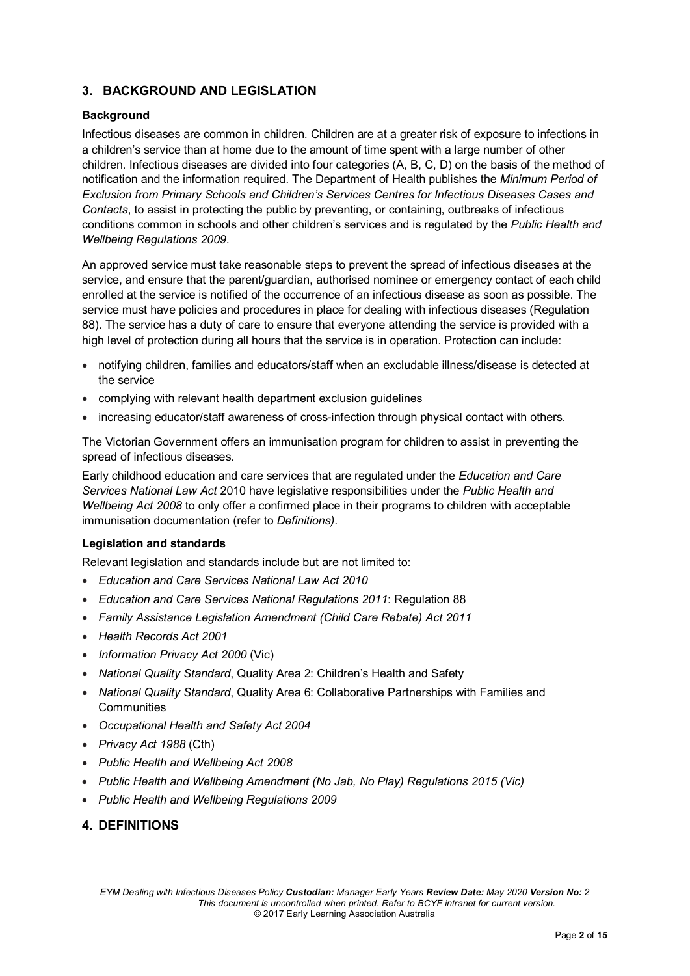## **3. BACKGROUND AND LEGISLATION**

### **Background**

Infectious diseases are common in children. Children are at a greater risk of exposure to infections in a children's service than at home due to the amount of time spent with a large number of other children. Infectious diseases are divided into four categories (A, B, C, D) on the basis of the method of notification and the information required. The Department of Health publishes the *Minimum Period of Exclusion from Primary Schools and Children's Services Centres for Infectious Diseases Cases and Contacts*, to assist in protecting the public by preventing, or containing, outbreaks of infectious conditions common in schools and other children's services and is regulated by the *Public Health and Wellbeing Regulations 2009*.

An approved service must take reasonable steps to prevent the spread of infectious diseases at the service, and ensure that the parent/guardian, authorised nominee or emergency contact of each child enrolled at the service is notified of the occurrence of an infectious disease as soon as possible. The service must have policies and procedures in place for dealing with infectious diseases (Regulation 88). The service has a duty of care to ensure that everyone attending the service is provided with a high level of protection during all hours that the service is in operation. Protection can include:

- notifying children, families and educators/staff when an excludable illness/disease is detected at the service
- complying with relevant health department exclusion guidelines
- increasing educator/staff awareness of cross-infection through physical contact with others.

The Victorian Government offers an immunisation program for children to assist in preventing the spread of infectious diseases.

Early childhood education and care services that are regulated under the *Education and Care Services National Law Act* 2010 have legislative responsibilities under the *Public Health and Wellbeing Act 2008* to only offer a confirmed place in their programs to children with acceptable immunisation documentation (refer to *Definitions)*.

### **Legislation and standards**

Relevant legislation and standards include but are not limited to:

- *Education and Care Services National Law Act 2010*
- *Education and Care Services National Regulations 2011*: Regulation 88
- *Family Assistance Legislation Amendment (Child Care Rebate) Act 2011*
- *Health Records Act 2001*
- *Information Privacy Act 2000* (Vic)
- *National Quality Standard*, Quality Area 2: Children's Health and Safety
- *National Quality Standard*, Quality Area 6: Collaborative Partnerships with Families and **Communities**
- *Occupational Health and Safety Act 2004*
- *Privacy Act 1988* (Cth)
- *Public Health and Wellbeing Act 2008*
- *Public Health and Wellbeing Amendment (No Jab, No Play) Regulations 2015 (Vic)*
- *Public Health and Wellbeing Regulations 2009*

### **4. DEFINITIONS**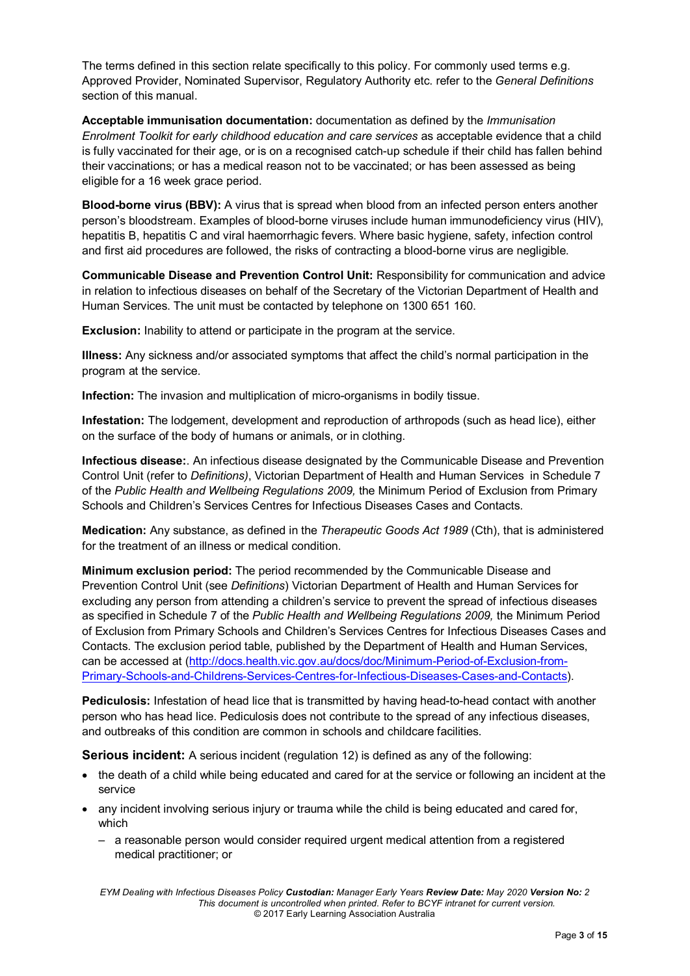The terms defined in this section relate specifically to this policy. For commonly used terms e.g. Approved Provider, Nominated Supervisor, Regulatory Authority etc. refer to the *General Definitions* section of this manual.

**Acceptable immunisation documentation:** documentation as defined by the *Immunisation Enrolment Toolkit for early childhood education and care services* as acceptable evidence that a child is fully vaccinated for their age, or is on a recognised catch-up schedule if their child has fallen behind their vaccinations; or has a medical reason not to be vaccinated; or has been assessed as being eligible for a 16 week grace period.

**Blood-borne virus (BBV):** A virus that is spread when blood from an infected person enters another person's bloodstream. Examples of blood-borne viruses include human immunodeficiency virus [\(HIV\)](http://en.wikipedia.org/wiki/HIV), [hepatitis B,](http://en.wikipedia.org/wiki/Hepatitis_B) [hepatitis C](http://en.wikipedia.org/wiki/Hepatitis_C) and [viral haemorrhagic fevers.](http://en.wikipedia.org/wiki/Viral_hemorrhagic_fever) Where basic hygiene, safety, infection control and first aid procedures are followed, the risks of contracting a blood-borne virus are negligible.

**Communicable Disease and Prevention Control Unit:** Responsibility for communication and advice in relation to infectious diseases on behalf of the Secretary of the Victorian Department of Health and Human Services. The unit must be contacted by telephone on 1300 651 160.

**Exclusion:** Inability to attend or participate in the program at the service.

**Illness:** Any sickness and/or associated symptoms that affect the child's normal participation in the program at the service.

**Infection:** The invasion and multiplication of micro-organisms in bodily tissue.

**Infestation:** The lodgement, development and reproduction of arthropods (such as head lice), either on the surface of the body of humans or animals, or in clothing.

**Infectious disease:**. An infectious disease designated by the Communicable Disease and Prevention Control Unit (refer to *Definitions)*, Victorian Department of Health and Human Services in Schedule 7 of the *Public Health and Wellbeing Regulations 2009,* the Minimum Period of Exclusion from Primary Schools and Children's Services Centres for Infectious Diseases Cases and Contacts.

**Medication:** Any substance, as defined in the *Therapeutic Goods Act 1989* (Cth), that is administered for the treatment of an illness or medical condition.

**Minimum exclusion period:** The period recommended by the Communicable Disease and Prevention Control Unit (see *Definitions*) Victorian Department of Health and Human Services for excluding any person from attending a children's service to prevent the spread of infectious diseases as specified in Schedule 7 of the *Public Health and Wellbeing Regulations 2009,* the Minimum Period of Exclusion from Primary Schools and Children's Services Centres for Infectious Diseases Cases and Contacts. The exclusion period table, published by the Department of Health and Human Services, can be accessed at [\(http://docs.health.vic.gov.au/docs/doc/Minimum-Period-of-Exclusion-from-](http://docs.health.vic.gov.au/docs/doc/Minimum-Period-of-Exclusion-from-Primary-Schools-and-Childrens-Services-Centres-for-Infectious-Diseases-Cases-and-Contacts)[Primary-Schools-and-Childrens-Services-Centres-for-Infectious-Diseases-Cases-and-Contacts\)](http://docs.health.vic.gov.au/docs/doc/Minimum-Period-of-Exclusion-from-Primary-Schools-and-Childrens-Services-Centres-for-Infectious-Diseases-Cases-and-Contacts).

**Pediculosis:** Infestation of head lice that is transmitted by having head-to-head contact with another person who has head lice. Pediculosis does not contribute to the spread of any infectious diseases, and outbreaks of this condition are common in schools and childcare facilities.

**Serious incident:** A serious incident (regulation 12) is defined as any of the following:

- the death of a child while being educated and cared for at the service or following an incident at the service
- any incident involving serious injury or trauma while the child is being educated and cared for, which
	- a reasonable person would consider required urgent medical attention from a registered medical practitioner; or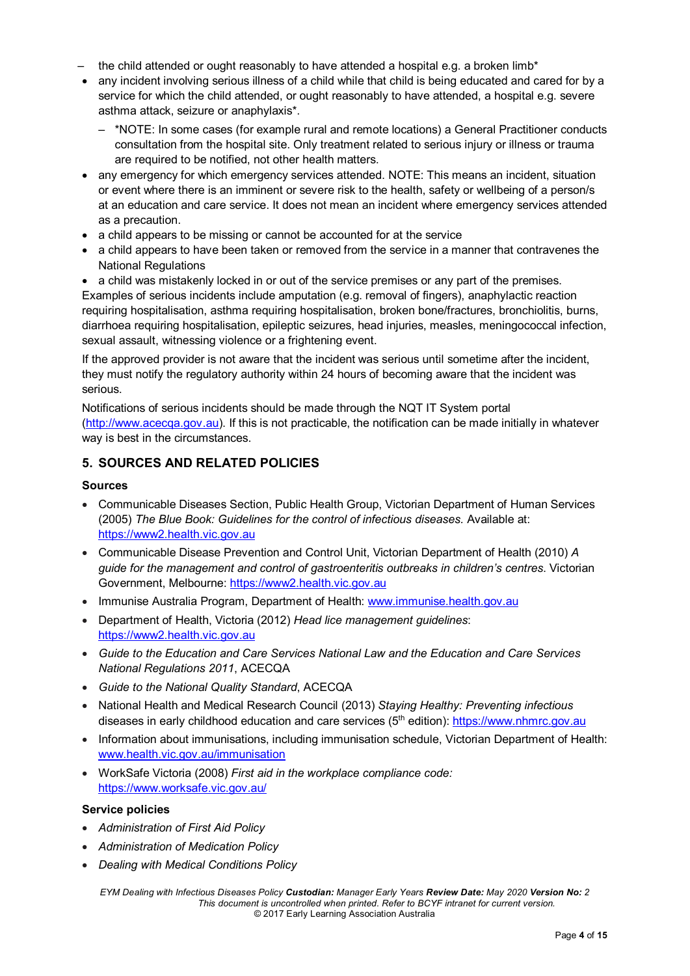- the child attended or ought reasonably to have attended a hospital e.g. a broken limb\*
- any incident involving serious illness of a child while that child is being educated and cared for by a service for which the child attended, or ought reasonably to have attended, a hospital e.g. severe asthma attack, seizure or anaphylaxis\*.
	- \*NOTE: In some cases (for example rural and remote locations) a General Practitioner conducts consultation from the hospital site. Only treatment related to serious injury or illness or trauma are required to be notified, not other health matters.
- any emergency for which emergency services attended. NOTE: This means an incident, situation or event where there is an imminent or severe risk to the health, safety or wellbeing of a person/s at an education and care service. It does not mean an incident where emergency services attended as a precaution.
- a child appears to be missing or cannot be accounted for at the service
- a child appears to have been taken or removed from the service in a manner that contravenes the National Regulations

• a child was mistakenly locked in or out of the service premises or any part of the premises. Examples of serious incidents include amputation (e.g. removal of fingers), anaphylactic reaction requiring hospitalisation, asthma requiring hospitalisation, broken bone/fractures, bronchiolitis, burns, diarrhoea requiring hospitalisation, epileptic seizures, head injuries, measles, meningococcal infection, sexual assault, witnessing violence or a frightening event.

If the approved provider is not aware that the incident was serious until sometime after the incident, they must notify the regulatory authority within 24 hours of becoming aware that the incident was serious.

Notifications of serious incidents should be made through the NQT IT System portal [\(http://www.acecqa.gov.au\)](http://www.acecqa.gov.au/). If this is not practicable, the notification can be made initially in whatever way is best in the circumstances.

## **5. SOURCES AND RELATED POLICIES**

### **Sources**

- Communicable Diseases Section, Public Health Group, Victorian Department of Human Services (2005) *The Blue Book: Guidelines for the control of infectious diseases.* Available at: [https://www2.health.vic.gov.au](https://www2.health.vic.gov.au/)
- Communicable Disease Prevention and Control Unit, Victorian Department of Health (2010) *A guide for the management and control of gastroenteritis outbreaks in children's centres*. Victorian Government, Melbourne: [https://www2.health.vic.gov.au](https://www2.health.vic.gov.au/)
- Immunise Australia Program, Department of Health: [www.immunise.health.gov.au](http://www.immunise.health.gov.au/)
- Department of Health, Victoria (2012) *Head lice management guidelines*: [https://www2.health.vic.gov.au](https://www2.health.vic.gov.au/)
- *Guide to the Education and Care Services National Law and the Education and Care Services National Regulations 2011*, ACECQA
- *Guide to the National Quality Standard*, ACECQA
- National Health and Medical Research Council (2013) *Staying Healthy: Preventing infectious*  diseases in early childhood education and care services (5<sup>th</sup> edition)[: https://www.nhmrc.gov.au](https://www.nhmrc.gov.au/)
- Information about immunisations, including immunisation schedule, Victorian Department of Health: [www.health.vic.gov.au/immunisation](http://www.health.vic.gov.au/immunisation)
- WorkSafe Victoria (2008) *First aid in the workplace compliance code:* <https://www.worksafe.vic.gov.au/>

### **Service policies**

- *Administration of First Aid Policy*
- *Administration of Medication Policy*
- *Dealing with Medical Conditions Policy*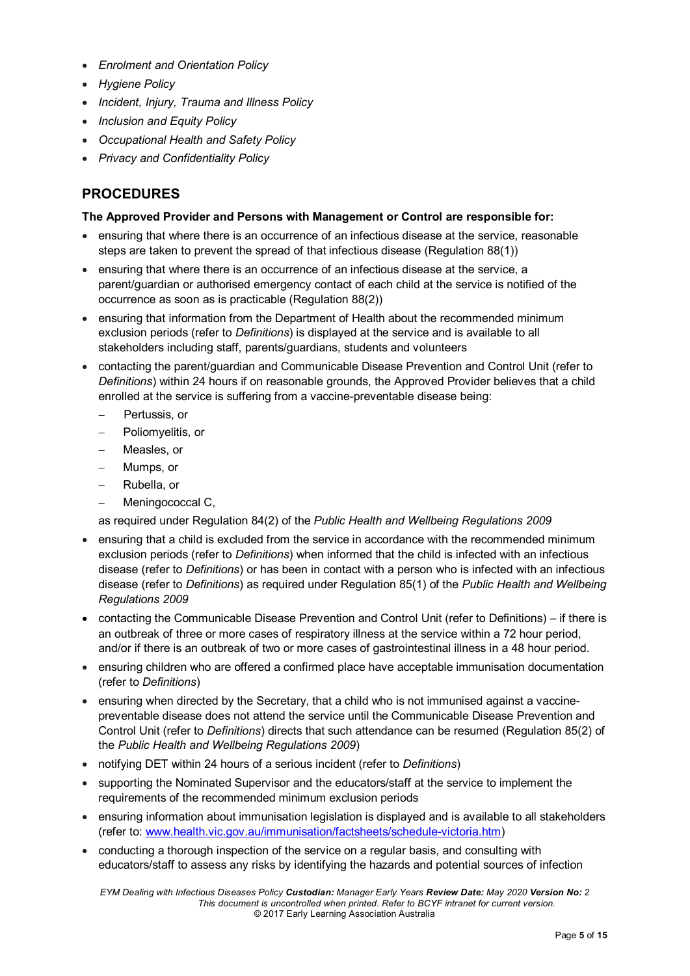- *Enrolment and Orientation Policy*
- *Hygiene Policy*
- *Incident, Injury, Trauma and Illness Policy*
- *Inclusion and Equity Policy*
- *Occupational Health and Safety Policy*
- *Privacy and Confidentiality Policy*

# **PROCEDURES**

### **The Approved Provider and Persons with Management or Control are responsible for:**

- ensuring that where there is an occurrence of an infectious disease at the service, reasonable steps are taken to prevent the spread of that infectious disease (Regulation 88(1))
- ensuring that where there is an occurrence of an infectious disease at the service, a parent/guardian or authorised emergency contact of each child at the service is notified of the occurrence as soon as is practicable (Regulation 88(2))
- ensuring that information from the Department of Health about the recommended minimum exclusion periods (refer to *Definitions*) is displayed at the service and is available to all stakeholders including staff, parents/guardians, students and volunteers
- contacting the parent/guardian and Communicable Disease Prevention and Control Unit (refer to *Definitions*) within 24 hours if on reasonable grounds, the Approved Provider believes that a child enrolled at the service is suffering from a vaccine-preventable disease being:
	- − Pertussis, or
	- − Poliomyelitis, or
	- − Measles, or
	- − Mumps, or
	- − Rubella, or
	- − Meningococcal C,

as required under Regulation 84(2) of the *Public Health and Wellbeing Regulations 2009* 

- ensuring that a child is excluded from the service in accordance with the recommended minimum exclusion periods (refer to *Definitions*) when informed that the child is infected with an infectious disease (refer to *Definitions*) or has been in contact with a person who is infected with an infectious disease (refer to *Definitions*) as required under Regulation 85(1) of the *Public Health and Wellbeing Regulations 2009*
- contacting the Communicable Disease Prevention and Control Unit (refer to Definitions) if there is an outbreak of three or more cases of respiratory illness at the service within a 72 hour period, and/or if there is an outbreak of two or more cases of gastrointestinal illness in a 48 hour period.
- ensuring children who are offered a confirmed place have acceptable immunisation documentation (refer to *Definitions*)
- ensuring when directed by the Secretary, that a child who is not immunised against a vaccinepreventable disease does not attend the service until the Communicable Disease Prevention and Control Unit (refer to *Definitions*) directs that such attendance can be resumed (Regulation 85(2) of the *Public Health and Wellbeing Regulations 2009*)
- notifying DET within 24 hours of a serious incident (refer to *Definitions*)
- supporting the Nominated Supervisor and the educators/staff at the service to implement the requirements of the recommended minimum exclusion periods
- ensuring information about immunisation legislation is displayed and is available to all stakeholders (refer to: [www.health.vic.gov.au/immunisation/factsheets/schedule-victoria.htm\)](http://www.health.vic.gov.au/immunisation/factsheets/schedule-victoria.htm)
- conducting a thorough inspection of the service on a regular basis, and consulting with educators/staff to assess any risks by identifying the hazards and potential sources of infection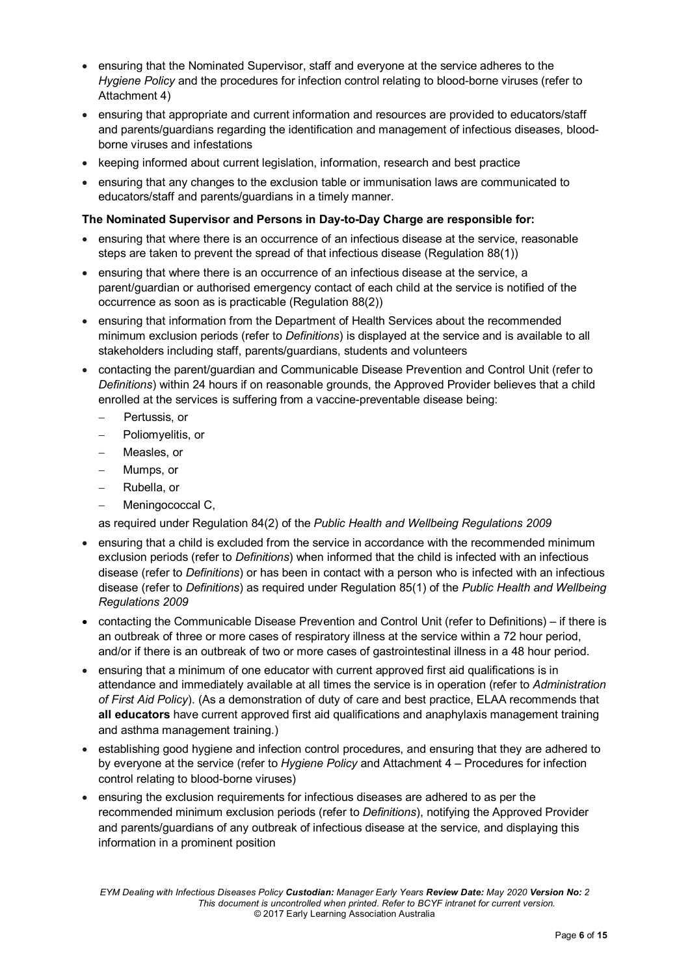- ensuring that the Nominated Supervisor, staff and everyone at the service adheres to the *Hygiene Policy* and the procedures for infection control relating to blood-borne viruses (refer to Attachment 4)
- ensuring that appropriate and current information and resources are provided to educators/staff and parents/guardians regarding the identification and management of infectious diseases, bloodborne viruses and infestations
- keeping informed about current legislation, information, research and best practice
- ensuring that any changes to the exclusion table or immunisation laws are communicated to educators/staff and parents/guardians in a timely manner.

### **The Nominated Supervisor and Persons in Day-to-Day Charge are responsible for:**

- ensuring that where there is an occurrence of an infectious disease at the service, reasonable steps are taken to prevent the spread of that infectious disease (Regulation 88(1))
- ensuring that where there is an occurrence of an infectious disease at the service, a parent/guardian or authorised emergency contact of each child at the service is notified of the occurrence as soon as is practicable (Regulation 88(2))
- ensuring that information from the Department of Health Services about the recommended minimum exclusion periods (refer to *Definitions*) is displayed at the service and is available to all stakeholders including staff, parents/guardians, students and volunteers
- contacting the parent/guardian and Communicable Disease Prevention and Control Unit (refer to *Definitions*) within 24 hours if on reasonable grounds, the Approved Provider believes that a child enrolled at the services is suffering from a vaccine-preventable disease being:
	- − Pertussis, or
	- − Poliomyelitis, or
	- − Measles, or
	- − Mumps, or
	- − Rubella, or
	- − Meningococcal C,

### as required under Regulation 84(2) of the *Public Health and Wellbeing Regulations 2009*

- ensuring that a child is excluded from the service in accordance with the recommended minimum exclusion periods (refer to *Definitions*) when informed that the child is infected with an infectious disease (refer to *Definitions*) or has been in contact with a person who is infected with an infectious disease (refer to *Definitions*) as required under Regulation 85(1) of the *Public Health and Wellbeing Regulations 2009*
- contacting the Communicable Disease Prevention and Control Unit (refer to Definitions) if there is an outbreak of three or more cases of respiratory illness at the service within a 72 hour period, and/or if there is an outbreak of two or more cases of gastrointestinal illness in a 48 hour period.
- ensuring that a minimum of one educator with current approved first aid qualifications is in attendance and immediately available at all times the service is in operation (refer to *Administration of First Aid Policy*). (As a demonstration of duty of care and best practice, ELAA recommends that **all educators** have current approved first aid qualifications and anaphylaxis management training and asthma management training.)
- establishing good hygiene and infection control procedures, and ensuring that they are adhered to by everyone at the service (refer to *Hygiene Policy* and Attachment 4 – Procedures for infection control relating to blood-borne viruses)
- ensuring the exclusion requirements for infectious diseases are adhered to as per the recommended minimum exclusion periods (refer to *Definitions*), notifying the Approved Provider and parents/guardians of any outbreak of infectious disease at the service, and displaying this information in a prominent position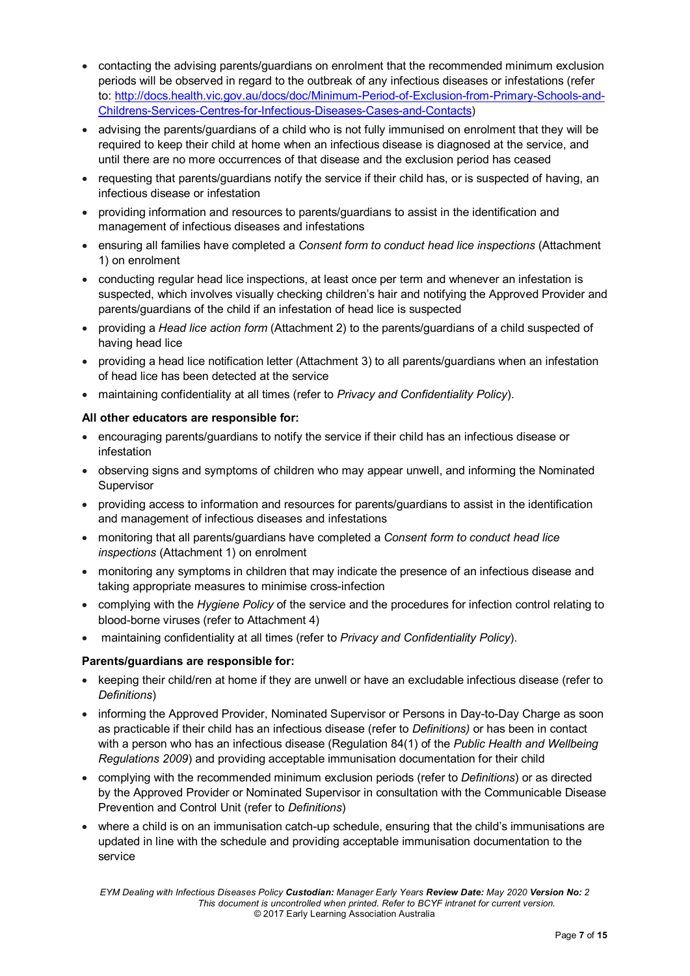- contacting the advising parents/guardians on enrolment that the recommended minimum exclusion periods will be observed in regard to the outbreak of any infectious diseases or infestations (refer to: [http://docs.health.vic.gov.au/docs/doc/Minimum-Period-of-Exclusion-from-Primary-Schools-and-](http://docs.health.vic.gov.au/docs/doc/Minimum-Period-of-Exclusion-from-Primary-Schools-and-Childrens-Services-Centres-for-Infectious-Diseases-Cases-and-Contacts)[Childrens-Services-Centres-for-Infectious-Diseases-Cases-and-Contacts\)](http://docs.health.vic.gov.au/docs/doc/Minimum-Period-of-Exclusion-from-Primary-Schools-and-Childrens-Services-Centres-for-Infectious-Diseases-Cases-and-Contacts)
- advising the parents/guardians of a child who is not fully immunised on enrolment that they will be required to keep their child at home when an infectious disease is diagnosed at the service, and until there are no more occurrences of that disease and the exclusion period has ceased
- requesting that parents/guardians notify the service if their child has, or is suspected of having, an infectious disease or infestation
- providing information and resources to parents/guardians to assist in the identification and management of infectious diseases and infestations
- ensuring all families have completed a *Consent form to conduct head lice inspections* (Attachment 1) on enrolment
- conducting regular head lice inspections, at least once per term and whenever an infestation is suspected, which involves visually checking children's hair and notifying the Approved Provider and parents/guardians of the child if an infestation of head lice is suspected
- providing a *Head lice action form* (Attachment 2) to the parents/guardians of a child suspected of having head lice
- providing a head lice notification letter (Attachment 3) to all parents/guardians when an infestation of head lice has been detected at the service
- maintaining confidentiality at all times (refer to *Privacy and Confidentiality Policy*).

### **All other educators are responsible for:**

- encouraging parents/guardians to notify the service if their child has an infectious disease or infestation
- observing signs and symptoms of children who may appear unwell, and informing the Nominated **Supervisor**
- providing access to information and resources for parents/guardians to assist in the identification and management of infectious diseases and infestations
- monitoring that all parents/guardians have completed a *Consent form to conduct head lice inspections* (Attachment 1) on enrolment
- monitoring any symptoms in children that may indicate the presence of an infectious disease and taking appropriate measures to minimise cross-infection
- complying with the *Hygiene Policy* of the service and the procedures for infection control relating to blood-borne viruses (refer to Attachment 4)
- maintaining confidentiality at all times (refer to *Privacy and Confidentiality Policy*).

### **Parents/guardians are responsible for:**

- keeping their child/ren at home if they are unwell or have an excludable infectious disease (refer to *Definitions*)
- informing the Approved Provider, Nominated Supervisor or Persons in Day-to-Day Charge as soon as practicable if their child has an infectious disease (refer to *Definitions)* or has been in contact with a person who has an infectious disease (Regulation 84(1) of the *Public Health and Wellbeing Regulations 2009*) and providing acceptable immunisation documentation for their child
- complying with the recommended minimum exclusion periods (refer to *Definitions*) or as directed by the Approved Provider or Nominated Supervisor in consultation with the Communicable Disease Prevention and Control Unit (refer to *Definitions*)
- where a child is on an immunisation catch-up schedule, ensuring that the child's immunisations are updated in line with the schedule and providing acceptable immunisation documentation to the service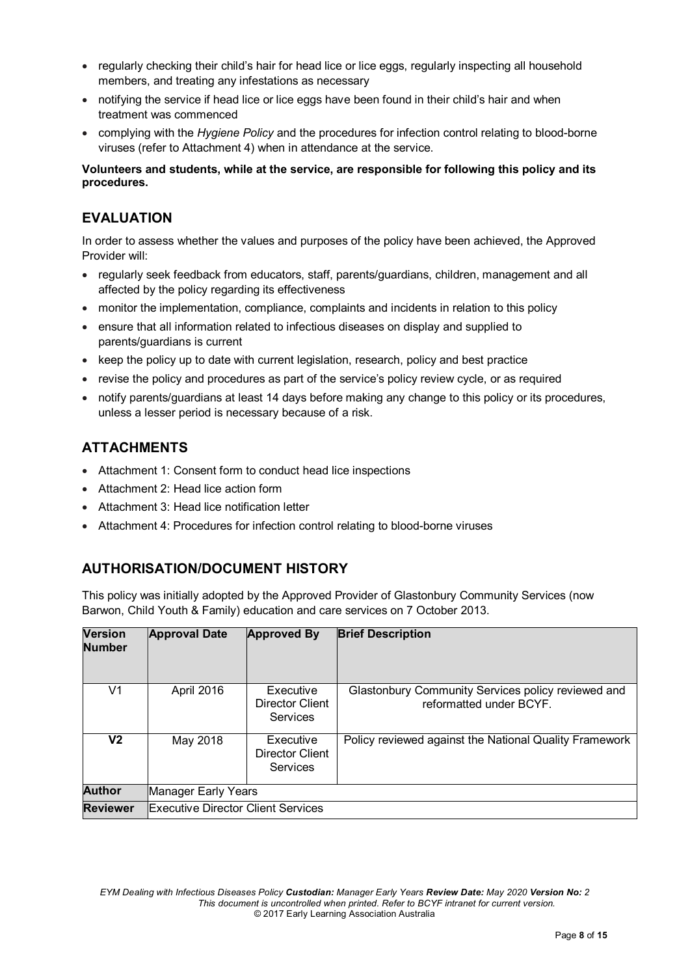- regularly checking their child's hair for head lice or lice eggs, regularly inspecting all household members, and treating any infestations as necessary
- notifying the service if head lice or lice eggs have been found in their child's hair and when treatment was commenced
- complying with the *Hygiene Policy* and the procedures for infection control relating to blood-borne viruses (refer to Attachment 4) when in attendance at the service.

### **Volunteers and students, while at the service, are responsible for following this policy and its procedures.**

# **EVALUATION**

In order to assess whether the values and purposes of the policy have been achieved, the Approved Provider will:

- regularly seek feedback from educators, staff, parents/guardians, children, management and all affected by the policy regarding its effectiveness
- monitor the implementation, compliance, complaints and incidents in relation to this policy
- ensure that all information related to infectious diseases on display and supplied to parents/guardians is current
- keep the policy up to date with current legislation, research, policy and best practice
- revise the policy and procedures as part of the service's policy review cycle, or as required
- notify parents/guardians at least 14 days before making any change to this policy or its procedures, unless a lesser period is necessary because of a risk.

## **ATTACHMENTS**

- Attachment 1: Consent form to conduct head lice inspections
- Attachment 2: Head lice action form
- Attachment 3: Head lice notification letter
- Attachment 4: Procedures for infection control relating to blood-borne viruses

# **AUTHORISATION/DOCUMENT HISTORY**

This policy was initially adopted by the Approved Provider of Glastonbury Community Services (now Barwon, Child Youth & Family) education and care services on 7 October 2013.

| <b>Version</b><br><b>Number</b> | <b>Approval Date</b>               | <b>Approved By</b>                                     | <b>Brief Description</b>                                                      |
|---------------------------------|------------------------------------|--------------------------------------------------------|-------------------------------------------------------------------------------|
| V1                              | April 2016                         | Executive<br><b>Director Client</b><br>Services        | Glastonbury Community Services policy reviewed and<br>reformatted under BCYF. |
| V2                              | May 2018                           | Executive<br><b>Director Client</b><br><b>Services</b> | Policy reviewed against the National Quality Framework                        |
| <b>Author</b>                   | Manager Early Years                |                                                        |                                                                               |
| <b>Reviewer</b>                 | Executive Director Client Services |                                                        |                                                                               |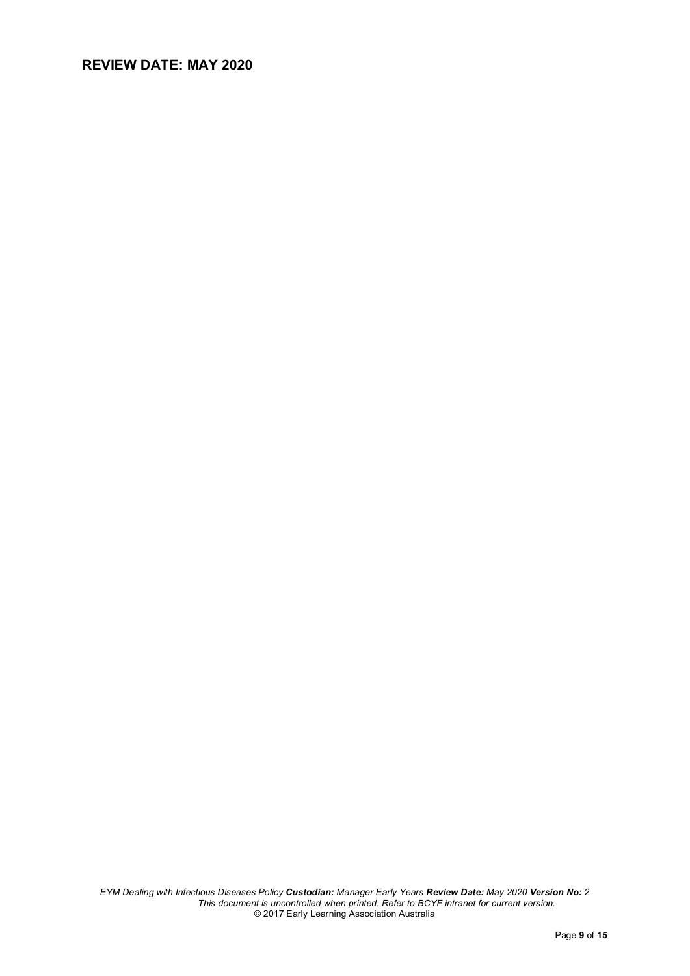# **REVIEW DATE: MAY 2020**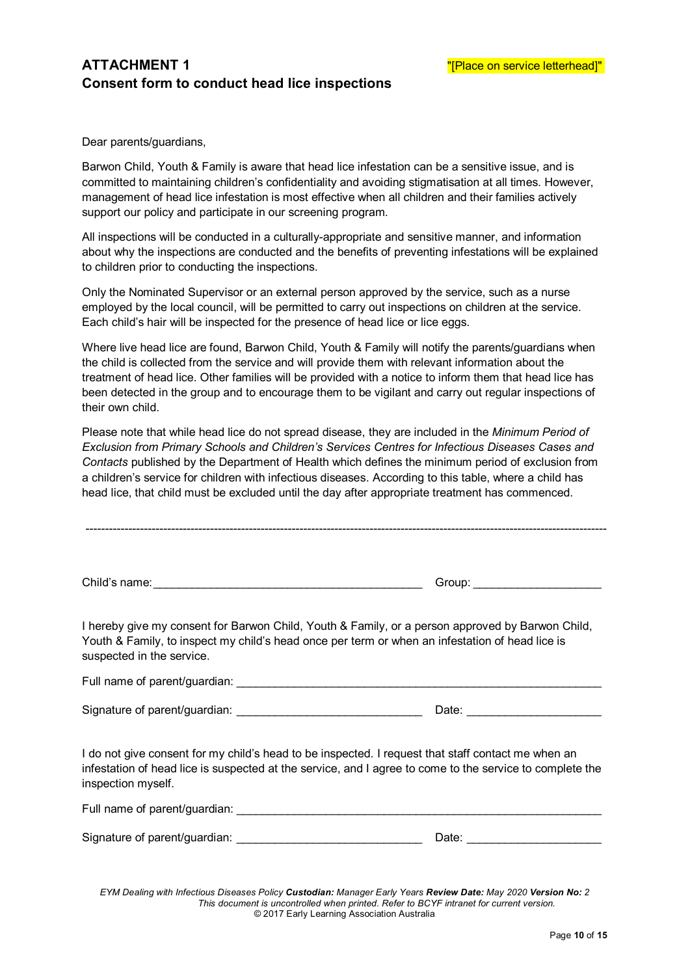# **ATTACHMENT 1**  $\blacksquare$ **Consent form to conduct head lice inspections**

Dear parents/guardians,

Barwon Child, Youth & Family is aware that head lice infestation can be a sensitive issue, and is committed to maintaining children's confidentiality and avoiding stigmatisation at all times. However, management of head lice infestation is most effective when all children and their families actively support our policy and participate in our screening program.

All inspections will be conducted in a culturally-appropriate and sensitive manner, and information about why the inspections are conducted and the benefits of preventing infestations will be explained to children prior to conducting the inspections.

Only the Nominated Supervisor or an external person approved by the service, such as a nurse employed by the local council, will be permitted to carry out inspections on children at the service. Each child's hair will be inspected for the presence of head lice or lice eggs.

Where live head lice are found, Barwon Child, Youth & Family will notify the parents/guardians when the child is collected from the service and will provide them with relevant information about the treatment of head lice. Other families will be provided with a notice to inform them that head lice has been detected in the group and to encourage them to be vigilant and carry out regular inspections of their own child.

Please note that while head lice do not spread disease, they are included in the *Minimum Period of Exclusion from Primary Schools and Children's Services Centres for Infectious Diseases Cases and Contacts* published by the Department of Health which defines the minimum period of exclusion from a children's service for children with infectious diseases. According to this table, where a child has head lice, that child must be excluded until the day after appropriate treatment has commenced.

|                                                                                                                                                                                                                                      | Group: ________________________ |
|--------------------------------------------------------------------------------------------------------------------------------------------------------------------------------------------------------------------------------------|---------------------------------|
|                                                                                                                                                                                                                                      |                                 |
| I hereby give my consent for Barwon Child, Youth & Family, or a person approved by Barwon Child,<br>Youth & Family, to inspect my child's head once per term or when an infestation of head lice is<br>suspected in the service.     |                                 |
|                                                                                                                                                                                                                                      |                                 |
|                                                                                                                                                                                                                                      |                                 |
| I do not give consent for my child's head to be inspected. I request that staff contact me when an<br>infestation of head lice is suspected at the service, and I agree to come to the service to complete the<br>inspection myself. |                                 |
|                                                                                                                                                                                                                                      |                                 |
|                                                                                                                                                                                                                                      |                                 |
|                                                                                                                                                                                                                                      |                                 |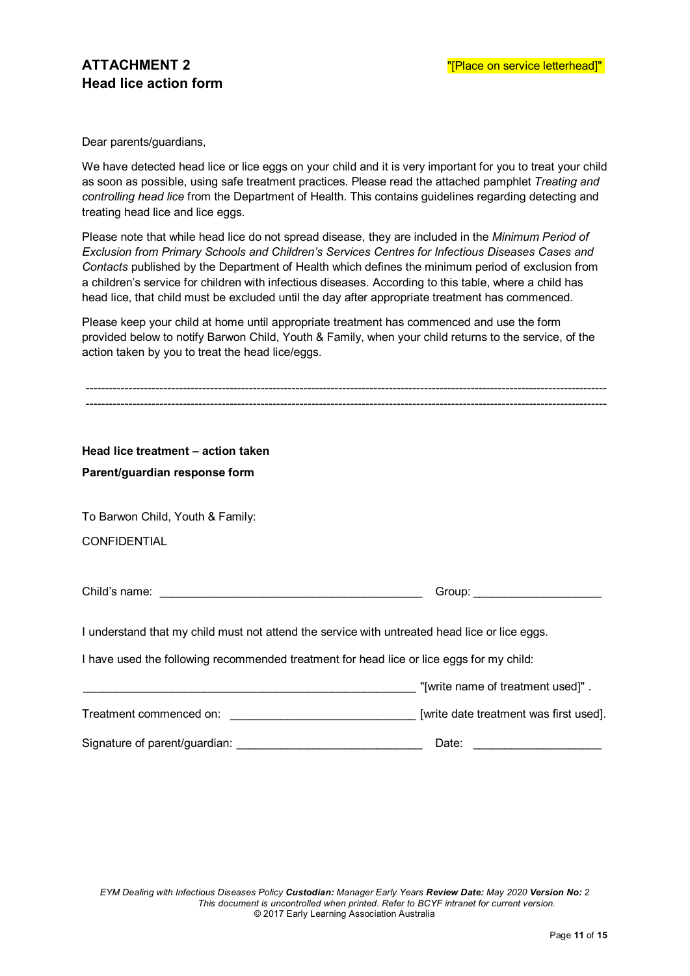Dear parents/guardians,

We have detected head lice or lice eggs on your child and it is very important for you to treat your child as soon as possible, using safe treatment practices. Please read the attached pamphlet *Treating and controlling head lice* from the Department of Health. This contains guidelines regarding detecting and treating head lice and lice eggs.

Please note that while head lice do not spread disease, they are included in the *Minimum Period of Exclusion from Primary Schools and Children's Services Centres for Infectious Diseases Cases and Contacts* published by the Department of Health which defines the minimum period of exclusion from a children's service for children with infectious diseases. According to this table, where a child has head lice, that child must be excluded until the day after appropriate treatment has commenced.

Please keep your child at home until appropriate treatment has commenced and use the form provided below to notify Barwon Child, Youth & Family, when your child returns to the service, of the action taken by you to treat the head lice/eggs.

| Head lice treatment - action taken                                                            |                                   |
|-----------------------------------------------------------------------------------------------|-----------------------------------|
| Parent/guardian response form                                                                 |                                   |
| To Barwon Child, Youth & Family:                                                              |                                   |
| <b>CONFIDENTIAL</b>                                                                           |                                   |
|                                                                                               | Group: _________________________  |
| I understand that my child must not attend the service with untreated head lice or lice eggs. |                                   |
| I have used the following recommended treatment for head lice or lice eggs for my child:      |                                   |
|                                                                                               | "[write name of treatment used]". |
|                                                                                               |                                   |
| Signature of parent/guardian:                                                                 | Date:                             |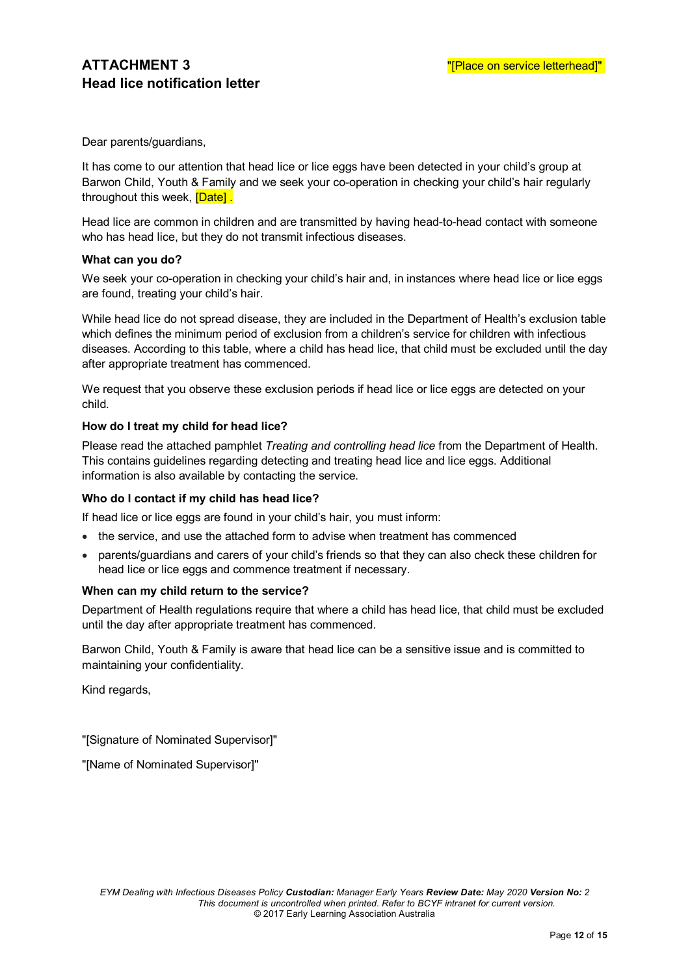Dear parents/guardians,

It has come to our attention that head lice or lice eggs have been detected in your child's group at Barwon Child, Youth & Family and we seek your co-operation in checking your child's hair regularly throughout this week, **[Date]**.

Head lice are common in children and are transmitted by having head-to-head contact with someone who has head lice, but they do not transmit infectious diseases.

### **What can you do?**

We seek your co-operation in checking your child's hair and, in instances where head lice or lice eggs are found, treating your child's hair.

While head lice do not spread disease, they are included in the Department of Health's exclusion table which defines the minimum period of exclusion from a children's service for children with infectious diseases. According to this table, where a child has head lice, that child must be excluded until the day after appropriate treatment has commenced.

We request that you observe these exclusion periods if head lice or lice eggs are detected on your child.

### **How do I treat my child for head lice?**

Please read the attached pamphlet *Treating and controlling head lice* from the Department of Health. This contains guidelines regarding detecting and treating head lice and lice eggs. Additional information is also available by contacting the service.

### **Who do I contact if my child has head lice?**

If head lice or lice eggs are found in your child's hair, you must inform:

- the service, and use the attached form to advise when treatment has commenced
- parents/guardians and carers of your child's friends so that they can also check these children for head lice or lice eggs and commence treatment if necessary.

### **When can my child return to the service?**

Department of Health regulations require that where a child has head lice, that child must be excluded until the day after appropriate treatment has commenced.

Barwon Child, Youth & Family is aware that head lice can be a sensitive issue and is committed to maintaining your confidentiality.

Kind regards,

"[Signature of Nominated Supervisor]"

"[Name of Nominated Supervisor]"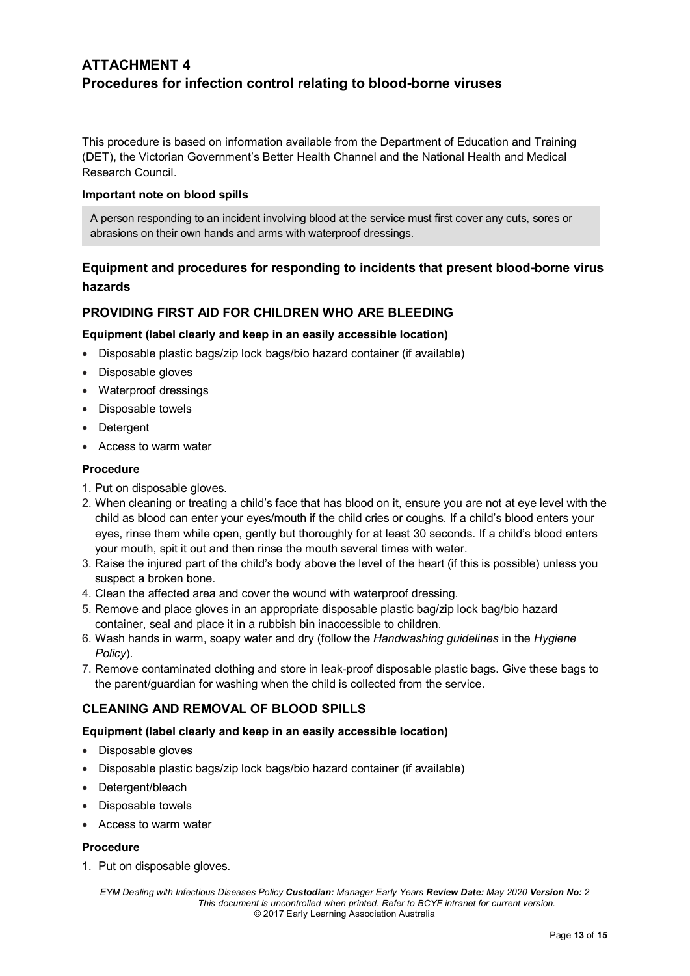# **ATTACHMENT 4 Procedures for infection control relating to blood-borne viruses**

This procedure is based on information available from the Department of Education and Training (DET), the Victorian Government's Better Health Channel and the National Health and Medical Research Council.

### **Important note on blood spills**

A person responding to an incident involving blood at the service must first cover any cuts, sores or abrasions on their own hands and arms with waterproof dressings.

## **Equipment and procedures for responding to incidents that present blood-borne virus hazards**

### **PROVIDING FIRST AID FOR CHILDREN WHO ARE BLEEDING**

### **Equipment (label clearly and keep in an easily accessible location)**

- Disposable plastic bags/zip lock bags/bio hazard container (if available)
- Disposable gloves
- Waterproof dressings
- Disposable towels
- Detergent
- Access to warm water

### **Procedure**

- 1. Put on disposable gloves.
- 2. When cleaning or treating a child's face that has blood on it, ensure you are not at eye level with the child as blood can enter your eyes/mouth if the child cries or coughs. If a child's blood enters your eyes, rinse them while open, gently but thoroughly for at least 30 seconds. If a child's blood enters your mouth, spit it out and then rinse the mouth several times with water.
- 3. Raise the injured part of the child's body above the level of the heart (if this is possible) unless you suspect a broken bone.
- 4. Clean the affected area and cover the wound with waterproof dressing.
- 5. Remove and place gloves in an appropriate disposable plastic bag/zip lock bag/bio hazard container, seal and place it in a rubbish bin inaccessible to children.
- 6. Wash hands in warm, soapy water and dry (follow the *Handwashing guidelines* in the *Hygiene Policy*).
- 7. Remove contaminated clothing and store in leak-proof disposable plastic bags. Give these bags to the parent/guardian for washing when the child is collected from the service.

## **CLEANING AND REMOVAL OF BLOOD SPILLS**

### **Equipment (label clearly and keep in an easily accessible location)**

- Disposable gloves
- Disposable plastic bags/zip lock bags/bio hazard container (if available)
- Detergent/bleach
- Disposable towels
- Access to warm water

### **Procedure**

1. Put on disposable gloves.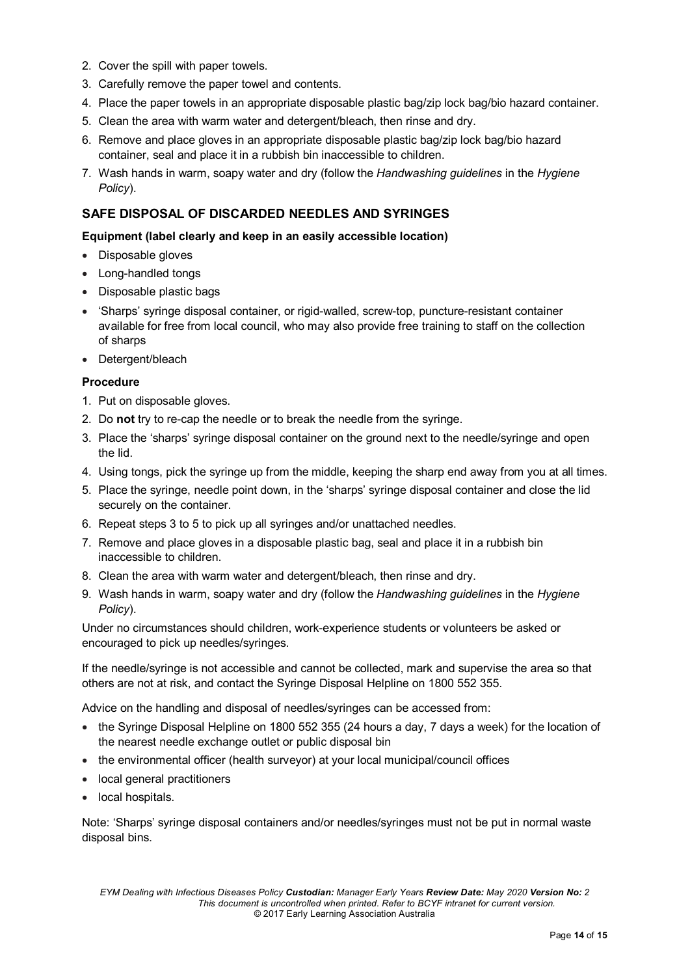- 2. Cover the spill with paper towels.
- 3. Carefully remove the paper towel and contents.
- 4. Place the paper towels in an appropriate disposable plastic bag/zip lock bag/bio hazard container.
- 5. Clean the area with warm water and detergent/bleach, then rinse and dry.
- 6. Remove and place gloves in an appropriate disposable plastic bag/zip lock bag/bio hazard container, seal and place it in a rubbish bin inaccessible to children.
- 7. Wash hands in warm, soapy water and dry (follow the *Handwashing guidelines* in the *Hygiene Policy*).

## **SAFE DISPOSAL OF DISCARDED NEEDLES AND SYRINGES**

### **Equipment (label clearly and keep in an easily accessible location)**

- Disposable gloves
- Long-handled tongs
- Disposable plastic bags
- 'Sharps' syringe disposal container, or rigid-walled, screw-top, puncture-resistant container available for free from local council, who may also provide free training to staff on the collection of sharps
- Detergent/bleach

### **Procedure**

- 1. Put on disposable gloves.
- 2. Do **not** try to re-cap the needle or to break the needle from the syringe.
- 3. Place the 'sharps' syringe disposal container on the ground next to the needle/syringe and open the lid.
- 4. Using tongs, pick the syringe up from the middle, keeping the sharp end away from you at all times.
- 5. Place the syringe, needle point down, in the 'sharps' syringe disposal container and close the lid securely on the container.
- 6. Repeat steps 3 to 5 to pick up all syringes and/or unattached needles.
- 7. Remove and place gloves in a disposable plastic bag, seal and place it in a rubbish bin inaccessible to children.
- 8. Clean the area with warm water and detergent/bleach, then rinse and dry.
- 9. Wash hands in warm, soapy water and dry (follow the *Handwashing guidelines* in the *Hygiene Policy*).

Under no circumstances should children, work-experience students or volunteers be asked or encouraged to pick up needles/syringes.

If the needle/syringe is not accessible and cannot be collected, mark and supervise the area so that others are not at risk, and contact the Syringe Disposal Helpline on 1800 552 355.

Advice on the handling and disposal of needles/syringes can be accessed from:

- the Syringe Disposal Helpline on 1800 552 355 (24 hours a day, 7 days a week) for the location of the nearest needle exchange outlet or public disposal bin
- the environmental officer (health surveyor) at your local municipal/council offices
- local general practitioners
- local hospitals.

Note: 'Sharps' syringe disposal containers and/or needles/syringes must not be put in normal waste disposal bins.